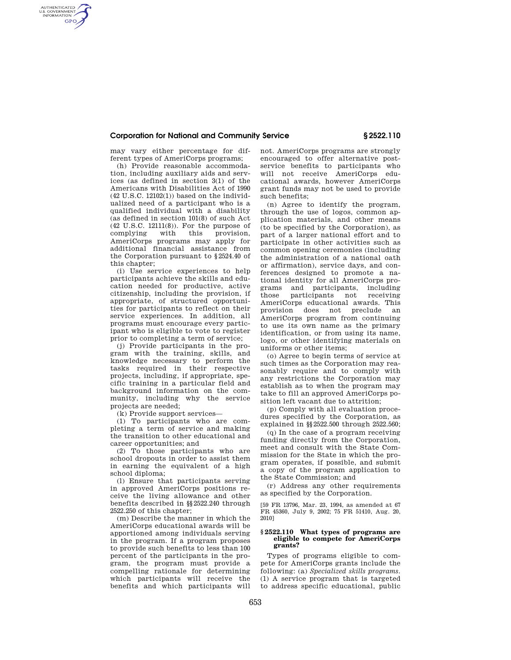### **Corporation for National and Community Service § 2522.110**

may vary either percentage for different types of AmeriCorps programs;

AUTHENTICATED<br>U.S. GOVERNMENT<br>INFORMATION **GPO** 

> (h) Provide reasonable accommodation, including auxiliary aids and services (as defined in section 3(1) of the Americans with Disabilities Act of 1990 (42 U.S.C. 12102(1)) based on the individualized need of a participant who is a qualified individual with a disability (as defined in section 101(8) of such Act  $(42 \text{ U.S.C. } 12111(8))$ . For the purpose of complying with this provision. complying with this provision, AmeriCorps programs may apply for additional financial assistance from the Corporation pursuant to §2524.40 of this chapter;

> (i) Use service experiences to help participants achieve the skills and education needed for productive, active citizenship, including the provision, if appropriate, of structured opportunities for participants to reflect on their service experiences. In addition, all programs must encourage every participant who is eligible to vote to register prior to completing a term of service;

> (j) Provide participants in the program with the training, skills, and knowledge necessary to perform the tasks required in their respective projects, including, if appropriate, specific training in a particular field and background information on the community, including why the service projects are needed;

(k) Provide support services—

(1) To participants who are completing a term of service and making the transition to other educational and career opportunities; and

(2) To those participants who are school dropouts in order to assist them in earning the equivalent of a high school diploma;

(l) Ensure that participants serving in approved AmeriCorps positions receive the living allowance and other benefits described in §§2522.240 through 2522.250 of this chapter;

(m) Describe the manner in which the AmeriCorps educational awards will be apportioned among individuals serving in the program. If a program proposes to provide such benefits to less than 100 percent of the participants in the program, the program must provide a compelling rationale for determining which participants will receive the benefits and which participants will not. AmeriCorps programs are strongly encouraged to offer alternative postservice benefits to participants who will not receive AmeriCorps educational awards, however AmeriCorps grant funds may not be used to provide such benefits;

(n) Agree to identify the program, through the use of logos, common application materials, and other means (to be specified by the Corporation), as part of a larger national effort and to participate in other activities such as common opening ceremonies (including the administration of a national oath or affirmation), service days, and conferences designed to promote a national identity for all AmeriCorps programs and participants, including those participants not receiving AmeriCorps educational awards. This provision does not preclude an AmeriCorps program from continuing to use its own name as the primary identification, or from using its name, logo, or other identifying materials on uniforms or other items;

(o) Agree to begin terms of service at such times as the Corporation may reasonably require and to comply with any restrictions the Corporation may establish as to when the program may take to fill an approved AmeriCorps position left vacant due to attrition;

(p) Comply with all evaluation procedures specified by the Corporation, as explained in §§2522.500 through 2522.560;

(q) In the case of a program receiving funding directly from the Corporation, meet and consult with the State Commission for the State in which the program operates, if possible, and submit a copy of the program application to the State Commission; and

(r) Address any other requirements as specified by the Corporation.

[59 FR 13796, Mar. 23, 1994, as amended at 67 FR 45360, July 9, 2002; 75 FR 51410, Aug. 20, 2010]

#### **§ 2522.110 What types of programs are eligible to compete for AmeriCorps grants?**

Types of programs eligible to compete for AmeriCorps grants include the following: (a) *Specialized skills programs.*  (1) A service program that is targeted to address specific educational, public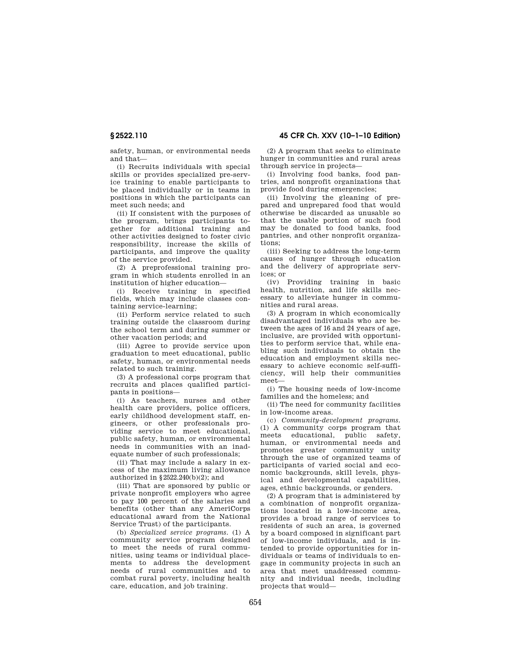# **§ 2522.110 45 CFR Ch. XXV (10–1–10 Edition)**

safety, human, or environmental needs and that—

(i) Recruits individuals with special skills or provides specialized pre-service training to enable participants to be placed individually or in teams in positions in which the participants can meet such needs; and

(ii) If consistent with the purposes of the program, brings participants together for additional training and other activities designed to foster civic responsibility, increase the skills of participants, and improve the quality of the service provided.

(2) A preprofessional training program in which students enrolled in an institution of higher education—

(i) Receive training in specified fields, which may include classes containing service-learning;

(ii) Perform service related to such training outside the classroom during the school term and during summer or other vacation periods; and

(iii) Agree to provide service upon graduation to meet educational, public safety, human, or environmental needs related to such training.

(3) A professional corps program that recruits and places qualified participants in positions—

(i) As teachers, nurses and other health care providers, police officers, early childhood development staff, engineers, or other professionals providing service to meet educational, public safety, human, or environmental needs in communities with an inadequate number of such professionals;

(ii) That may include a salary in excess of the maximum living allowance authorized in §2522.240(b)(2); and

(iii) That are sponsored by public or private nonprofit employers who agree to pay 100 percent of the salaries and benefits (other than any AmeriCorps educational award from the National Service Trust) of the participants.

(b) *Specialized service programs.* (1) A community service program designed to meet the needs of rural communities, using teams or individual placements to address the development needs of rural communities and to combat rural poverty, including health care, education, and job training.

(2) A program that seeks to eliminate hunger in communities and rural areas through service in projects—

(i) Involving food banks, food pantries, and nonprofit organizations that provide food during emergencies;

(ii) Involving the gleaning of prepared and unprepared food that would otherwise be discarded as unusable so that the usable portion of such food may be donated to food banks, food pantries, and other nonprofit organizations;

(iii) Seeking to address the long-term causes of hunger through education and the delivery of appropriate services; or

(iv) Providing training in basic health, nutrition, and life skills necessary to alleviate hunger in communities and rural areas.

(3) A program in which economically disadvantaged individuals who are between the ages of 16 and 24 years of age, inclusive, are provided with opportunities to perform service that, while enabling such individuals to obtain the education and employment skills necessary to achieve economic self-sufficiency, will help their communities meet—

(i) The housing needs of low-income families and the homeless; and

(ii) The need for community facilities in low-income areas.

(c) *Community-development programs.*  (1) A community corps program that meets educational, public safety, human, or environmental needs and promotes greater community unity through the use of organized teams of participants of varied social and economic backgrounds, skill levels, physical and developmental capabilities, ages, ethnic backgrounds, or genders.

(2) A program that is administered by a combination of nonprofit organizations located in a low-income area, provides a broad range of services to residents of such an area, is governed by a board composed in significant part of low-income individuals, and is intended to provide opportunities for individuals or teams of individuals to engage in community projects in such an area that meet unaddressed community and individual needs, including projects that would—